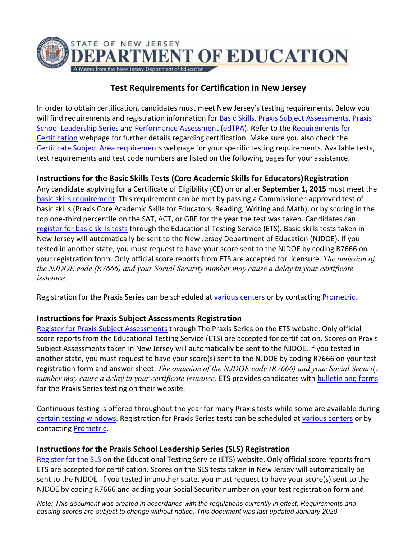

# **Test Requirements for Certification in New Jersey**

In order to obtain certification, candidates must meet New Jersey's testing requirements. Below you will find requirements and registration information for [Basic Skills,](https://nj.gov/education/rpr/preparation/BasicSkillsExemptionCutScores.pdf) [Praxis Subject Assessments,](https://www.ets.org/praxis/register/dates_centers/?WT.ac=praxishome_toeflpbtpdf_180911) [Praxis](https://www.ets.org/sls/register/) [School Leadership Series](https://www.ets.org/sls/register/) and [Performance Assessment \(edTPA\).](http://www.edtpa.com/PageView.aspx?f=GEN_NewJersey.html) Refer to the [Requirements for](https://nj.gov/education/license/req/) [Certification](https://nj.gov/education/license/req/) webpage for further details regarding certification. Make sure you also check the [Certificate Subject Area requirements](https://nj.gov/cgi-bin/education/license/endorsement.pl?string=999&maxhits=1000&field=2) webpage for your specific testing requirements. Available tests, test requirements and test code numbers are listed on the following pages for your assistance.

# **Instructions for the Basic Skills Tests (Core Academic Skills for Educators)Registration**

Any candidate applying for a Certificate of Eligibility (CE) on or after **September 1, 2015** must meet the [basic skills requirement.](https://nj.gov/education/rpr/preparation/BasicSkillsExemptionCutScores.pdf) This requirement can be met by passing a Commissioner-approved test of basic skills (Praxis Core Academic Skills for Educators: Reading, Writing and Math), or by scoring in the top one-third percentile on the SAT, ACT, or GRE for the year the test was taken. Candidates can [register for basic skills tests](https://www.ets.org/praxis/nj/requirements/) through the Educational Testing Service (ETS). Basic skills tests taken in New Jersey will automatically be sent to the New Jersey Department of Education (NJDOE). If you tested in another state, you must request to have your score sent to the NJDOE by coding R7666 on your registration form. Only official score reports from ETS are accepted for licensure. *The omission of the NJDOE code (R7666) and your Social Security number may cause a delay in your certificate issuance.* 

Registration for the Praxis Series can be scheduled at [various centers](https://www.ets.org/praxis/register/dates_centers/?WT.ac=praxishome_toeflpbtpdf_180911) or by contacting [Prometric.](https://www.prometric.com/en-us/contact-us/Pages/default.aspx)

#### **Instructions for Praxis Subject Assessments Registration**

[Register for Praxis Subject Assessments](https://www.ets.org/praxis) through The Praxis Series on the ETS website. Only official score reports from the Educational Testing Service (ETS) are accepted for certification. Scores on Praxis Subject Assessments taken in New Jersey will automatically be sent to the NJDOE. If you tested in another state, you must request to have your score(s) sent to the NJDOE by coding R7666 on your test registration form and answer sheet. *The omission of the NJDOE code (R7666) and your Social Security number may cause a delay in your certificate issuance.* ETS provides candidates with [bulletin and forms](https://www.ets.org/praxis/about/bulletin/) for the Praxis Series testing on their website.

Continuous testing is offered throughout the year for many Praxis tests while some are available during [certain testing windows.](https://www.ets.org/praxis/register/dates_centers/?WT.ac=praxishome_toeflpbtpdf_180911) Registration for Praxis Series tests can be scheduled at [various centers](https://www.ets.org/praxis/register/dates_centers/?WT.ac=praxishome_toeflpbtpdf_180911) or by contacting [Prometric.](https://www.prometric.com/en-us/contact-us/Pages/default.aspx)

#### **Instructions for the Praxis School Leadership Series (SLS) Registration**

[Register for the SLS](https://www.ets.org/sls/register/) on the Educational Testing Service (ETS) website. Only official score reports from ETS are accepted for certification. Scores on the SLS tests taken in New Jersey will automatically be sent to the NJDOE. If you tested in another state, you must request to have your score(s) sent to the NJDOE by coding R7666 and adding your Social Security number on your test registration form and

*Note: This document was created in accordance with the regulations currently in effect. Requirements and passing scores are subject to change without notice. This document was last updated January 2020.*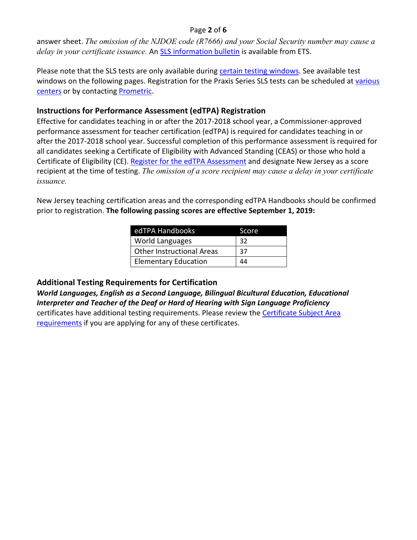#### Page **2** of **6**

answer sheet. *The omission of the NJDOE code (R7666) and your Social Security number may cause a delay in your certificate issuance.* An [SLS information bulletin](https://www.ets.org/sls/about/bulletin/) is available from ETS.

Please note that the SLS tests are only available during [certain testing windows.](https://www.ets.org/praxis/register/dates_centers/?WT.ac=praxishome_toeflpbtpdf_180911) See available test windows on the following pages. Registration for the Praxis Series SLS tests can be scheduled at [various](https://www.ets.org/sls/register/) [centers](https://www.ets.org/sls/register/) or by contacting **Prometric**.

### **Instructions for Performance Assessment (edTPA) Registration**

Effective for candidates teaching in or after the 2017-2018 school year, a Commissioner-approved performance assessment for teacher certification (edTPA) is required for candidates teaching in or after the 2017-2018 school year. Successful completion of this performance assessment is required for all candidates seeking a Certificate of Eligibility with Advanced Standing (CEAS) or those who hold a Certificate of Eligibility (CE)[. Register for the edTPA Assessment](http://www.edtpa.com/PageView.aspx?f=GEN_Register.html) and designate New Jersey as a score recipient at the time of testing. *The omission of a score recipient may cause a delay in your certificate issuance.* 

New Jersey teaching certification areas and the corresponding edTPA Handbooks should be confirmed prior to registration. **The following passing scores are effective September 1, 2019:**

| edTPA Handbooks                  | Score |
|----------------------------------|-------|
| World Languages                  | -32   |
| <b>Other Instructional Areas</b> | 37    |
| <b>Elementary Education</b>      | 44    |

#### **Additional Testing Requirements for Certification**

*World Languages, English as a Second Language, Bilingual Bicultural Education, Educational Interpreter and Teacher of the Deaf or Hard of Hearing with Sign Language Proficiency*  certificates have additional testing requirements. Please review the [Certificate Subject Area](https://nj.gov/cgi-bin/education/license/endorsement.pl?string=999&maxhits=1000&field=2) [requirements](https://nj.gov/cgi-bin/education/license/endorsement.pl?string=999&maxhits=1000&field=2) if you are applying for any of these certificates.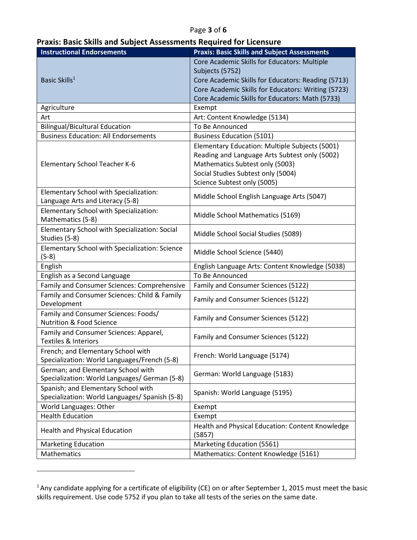### Page **3** of **6**

| <b>Praxis: Basic Skills and Subject Assessments Required for Licensure</b> |  |
|----------------------------------------------------------------------------|--|
|----------------------------------------------------------------------------|--|

| <b>Instructional Endorsements</b>                                                  | <b>Praxis: Basic Skills and Subject Assessments</b>        |
|------------------------------------------------------------------------------------|------------------------------------------------------------|
|                                                                                    | Core Academic Skills for Educators: Multiple               |
|                                                                                    | Subjects (5752)                                            |
| Basic Skills <sup>1</sup>                                                          | Core Academic Skills for Educators: Reading (5713)         |
|                                                                                    | Core Academic Skills for Educators: Writing (5723)         |
|                                                                                    | Core Academic Skills for Educators: Math (5733)            |
| Agriculture                                                                        | Exempt                                                     |
| Art                                                                                | Art: Content Knowledge (5134)                              |
| <b>Bilingual/Bicultural Education</b>                                              | To Be Announced                                            |
| <b>Business Education: All Endorsements</b>                                        | <b>Business Education (5101)</b>                           |
|                                                                                    | Elementary Education: Multiple Subjects (5001)             |
|                                                                                    | Reading and Language Arts Subtest only (5002)              |
| <b>Elementary School Teacher K-6</b>                                               | Mathematics Subtest only (5003)                            |
|                                                                                    | Social Studies Subtest only (5004)                         |
|                                                                                    | Science Subtest only (5005)                                |
| Elementary School with Specialization:                                             | Middle School English Language Arts (5047)                 |
| Language Arts and Literacy (5-8)                                                   |                                                            |
| Elementary School with Specialization:<br>Mathematics (5-8)                        | Middle School Mathematics (5169)                           |
| Elementary School with Specialization: Social<br>Studies (5-8)                     | Middle School Social Studies (5089)                        |
| Elementary School with Specialization: Science<br>$(5-8)$                          | Middle School Science (5440)                               |
| English                                                                            | English Language Arts: Content Knowledge (5038)            |
| English as a Second Language                                                       | To Be Announced                                            |
| Family and Consumer Sciences: Comprehensive                                        | Family and Consumer Sciences (5122)                        |
| Family and Consumer Sciences: Child & Family                                       |                                                            |
| Development                                                                        | Family and Consumer Sciences (5122)                        |
| Family and Consumer Sciences: Foods/<br><b>Nutrition &amp; Food Science</b>        | Family and Consumer Sciences (5122)                        |
| Family and Consumer Sciences: Apparel,<br>Textiles & Interiors                     | Family and Consumer Sciences (5122)                        |
| French; and Elementary School with<br>Specialization: World Languages/French (5-8) | French: World Language (5174)                              |
| German; and Elementary School with                                                 |                                                            |
| Specialization: World Languages/ German (5-8)                                      | German: World Language (5183)                              |
| Spanish; and Elementary School with                                                |                                                            |
| Specialization: World Languages/ Spanish (5-8)                                     | Spanish: World Language (5195)                             |
| World Languages: Other                                                             | Exempt                                                     |
| <b>Health Education</b>                                                            | Exempt                                                     |
| <b>Health and Physical Education</b>                                               | Health and Physical Education: Content Knowledge<br>(5857) |
| <b>Marketing Education</b>                                                         | Marketing Education (5561)                                 |
| Mathematics                                                                        | Mathematics: Content Knowledge (5161)                      |

<span id="page-2-0"></span> $1$ Any candidate applying for a certificate of eligibility (CE) on or after September 1, 2015 must meet the basic skills requirement. Use code 5752 if you plan to take all tests of the series on the same date.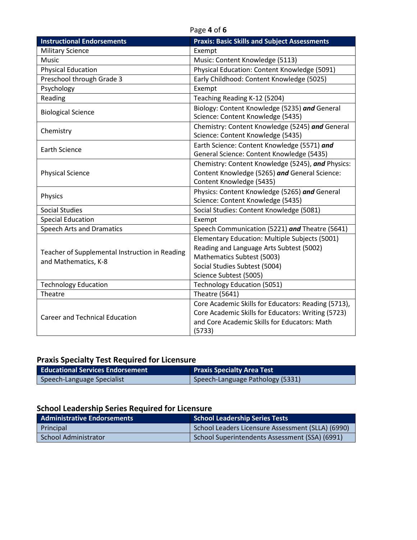#### Page **4** of **6**

| <b>Instructional Endorsements</b>                                      | <b>Praxis: Basic Skills and Subject Assessments</b>                                                                                                                                 |
|------------------------------------------------------------------------|-------------------------------------------------------------------------------------------------------------------------------------------------------------------------------------|
| <b>Military Science</b>                                                | Exempt                                                                                                                                                                              |
| <b>Music</b>                                                           | Music: Content Knowledge (5113)                                                                                                                                                     |
| <b>Physical Education</b>                                              | Physical Education: Content Knowledge (5091)                                                                                                                                        |
| Preschool through Grade 3                                              | Early Childhood: Content Knowledge (5025)                                                                                                                                           |
| Psychology                                                             | Exempt                                                                                                                                                                              |
| Reading                                                                | Teaching Reading K-12 (5204)                                                                                                                                                        |
| <b>Biological Science</b>                                              | Biology: Content Knowledge (5235) and General<br>Science: Content Knowledge (5435)                                                                                                  |
| Chemistry                                                              | Chemistry: Content Knowledge (5245) and General<br>Science: Content Knowledge (5435)                                                                                                |
| <b>Earth Science</b>                                                   | Earth Science: Content Knowledge (5571) and<br>General Science: Content Knowledge (5435)                                                                                            |
| <b>Physical Science</b>                                                | Chemistry: Content Knowledge (5245), and Physics:<br>Content Knowledge (5265) and General Science:<br>Content Knowledge (5435)                                                      |
| Physics                                                                | Physics: Content Knowledge (5265) and General<br>Science: Content Knowledge (5435)                                                                                                  |
| <b>Social Studies</b>                                                  | Social Studies: Content Knowledge (5081)                                                                                                                                            |
| <b>Special Education</b>                                               | Exempt                                                                                                                                                                              |
| <b>Speech Arts and Dramatics</b>                                       | Speech Communication (5221) and Theatre (5641)                                                                                                                                      |
| Teacher of Supplemental Instruction in Reading<br>and Mathematics, K-8 | Elementary Education: Multiple Subjects (5001)<br>Reading and Language Arts Subtest (5002)<br>Mathematics Subtest (5003)<br>Social Studies Subtest (5004)<br>Science Subtest (5005) |
| <b>Technology Education</b>                                            | <b>Technology Education (5051)</b>                                                                                                                                                  |
| Theatre                                                                | <b>Theatre (5641)</b>                                                                                                                                                               |
| <b>Career and Technical Education</b>                                  | Core Academic Skills for Educators: Reading (5713),<br>Core Academic Skills for Educators: Writing (5723)<br>and Core Academic Skills for Educators: Math<br>(5733)                 |

# **Praxis Specialty Test Required for Licensure**

| <b>Educational Services Endorsement</b> | <b>Praxis Specialty Area Test</b> |
|-----------------------------------------|-----------------------------------|
| Speech-Language Specialist              | Speech-Language Pathology (5331)  |

# **School Leadership Series Required for Licensure**

| <b>Administrative Endorsements</b> | <b>School Leadership Series Tests</b>             |
|------------------------------------|---------------------------------------------------|
| Principal                          | School Leaders Licensure Assessment (SLLA) (6990) |
| School Administrator               | School Superintendents Assessment (SSA) (6991)    |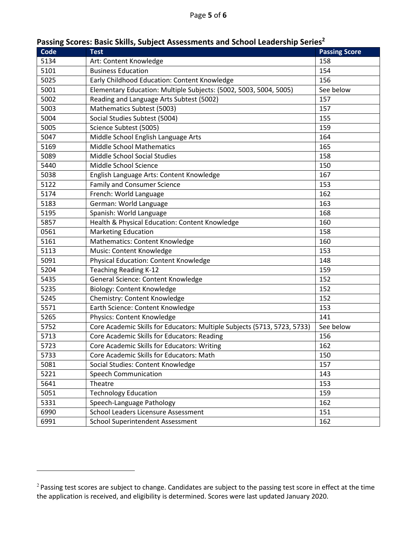| Code | <b>Test</b>                                                              | <b>Passing Score</b> |
|------|--------------------------------------------------------------------------|----------------------|
| 5134 | Art: Content Knowledge                                                   | 158                  |
| 5101 | <b>Business Education</b>                                                | 154                  |
| 5025 | Early Childhood Education: Content Knowledge                             | 156                  |
| 5001 | Elementary Education: Multiple Subjects: (5002, 5003, 5004, 5005)        | See below            |
| 5002 | Reading and Language Arts Subtest (5002)                                 | 157                  |
| 5003 | Mathematics Subtest (5003)                                               | 157                  |
| 5004 | Social Studies Subtest (5004)                                            | 155                  |
| 5005 | Science Subtest (5005)                                                   | 159                  |
| 5047 | Middle School English Language Arts                                      | 164                  |
| 5169 | <b>Middle School Mathematics</b>                                         | 165                  |
| 5089 | Middle School Social Studies                                             | 158                  |
| 5440 | Middle School Science                                                    | 150                  |
| 5038 | English Language Arts: Content Knowledge                                 | 167                  |
| 5122 | <b>Family and Consumer Science</b>                                       | 153                  |
| 5174 | French: World Language                                                   | 162                  |
| 5183 | German: World Language                                                   | 163                  |
| 5195 | Spanish: World Language                                                  | 168                  |
| 5857 | Health & Physical Education: Content Knowledge                           | 160                  |
| 0561 | <b>Marketing Education</b>                                               | 158                  |
| 5161 | Mathematics: Content Knowledge                                           | 160                  |
| 5113 | Music: Content Knowledge                                                 | 153                  |
| 5091 | Physical Education: Content Knowledge                                    | 148                  |
| 5204 | Teaching Reading K-12                                                    | 159                  |
| 5435 | General Science: Content Knowledge                                       | 152                  |
| 5235 | Biology: Content Knowledge                                               | 152                  |
| 5245 | Chemistry: Content Knowledge                                             | 152                  |
| 5571 | Earth Science: Content Knowledge                                         | 153                  |
| 5265 | Physics: Content Knowledge                                               | 141                  |
| 5752 | Core Academic Skills for Educators: Multiple Subjects (5713, 5723, 5733) | See below            |
| 5713 | Core Academic Skills for Educators: Reading                              | 156                  |
| 5723 | Core Academic Skills for Educators: Writing                              | 162                  |
| 5733 | Core Academic Skills for Educators: Math                                 | 150                  |
| 5081 | Social Studies: Content Knowledge                                        | 157                  |
| 5221 | <b>Speech Communication</b>                                              | 143                  |
| 5641 | Theatre                                                                  | 153                  |
| 5051 | <b>Technology Education</b>                                              | 159                  |
| 5331 | Speech-Language Pathology                                                | 162                  |
| 6990 | School Leaders Licensure Assessment                                      | 151                  |
| 6991 | <b>School Superintendent Assessment</b>                                  | 162                  |

# **Passing Scores: Basic Skills, Subject Assessments and School Leadership Serie[s2](#page-4-0)**

<span id="page-4-0"></span><sup>&</sup>lt;sup>2</sup> Passing test scores are subject to change. Candidates are subject to the passing test score in effect at the time the application is received, and eligibility is determined. Scores were last updated January 2020.